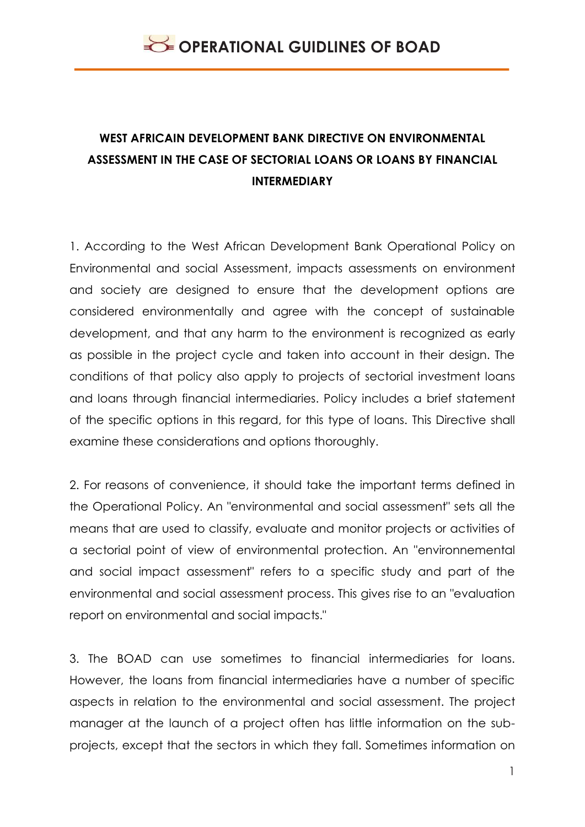## **WEST AFRICAIN DEVELOPMENT BANK DIRECTIVE ON ENVIRONMENTAL ASSESSMENT IN THE CASE OF SECTORIAL LOANS OR LOANS BY FINANCIAL INTERMEDIARY**

1. According to the West African Development Bank Operational Policy on Environmental and social Assessment, impacts assessments on environment and society are designed to ensure that the development options are considered environmentally and agree with the concept of sustainable development, and that any harm to the environment is recognized as early as possible in the project cycle and taken into account in their design. The conditions of that policy also apply to projects of sectorial investment loans and loans through financial intermediaries. Policy includes a brief statement of the specific options in this regard, for this type of loans. This Directive shall examine these considerations and options thoroughly.

2. For reasons of convenience, it should take the important terms defined in the Operational Policy. An "environmental and social assessment" sets all the means that are used to classify, evaluate and monitor projects or activities of a sectorial point of view of environmental protection. An "environnemental and social impact assessment" refers to a specific study and part of the environmental and social assessment process. This gives rise to an "evaluation report on environmental and social impacts."

3. The BOAD can use sometimes to financial intermediaries for loans. However, the loans from financial intermediaries have a number of specific aspects in relation to the environmental and social assessment. The project manager at the launch of a project often has little information on the subprojects, except that the sectors in which they fall. Sometimes information on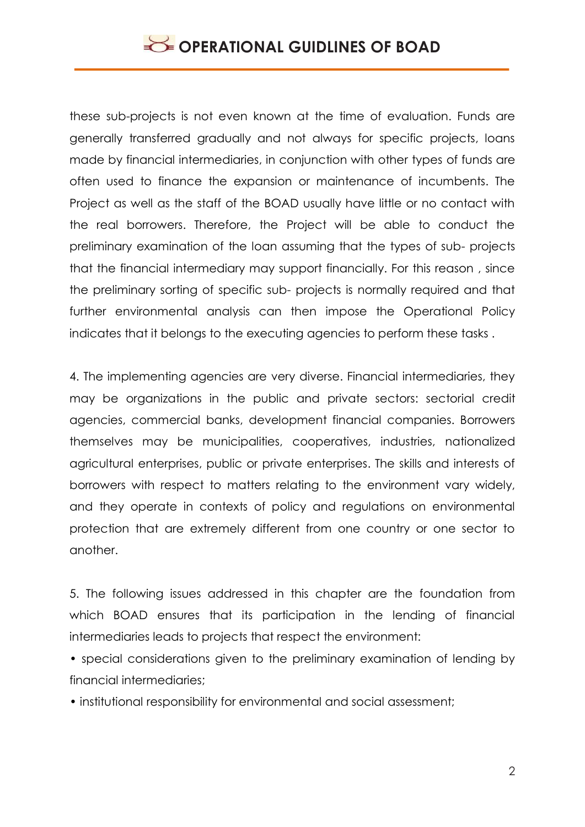these sub-projects is not even known at the time of evaluation. Funds are generally transferred gradually and not always for specific projects, loans made by financial intermediaries, in conjunction with other types of funds are often used to finance the expansion or maintenance of incumbents. The Project as well as the staff of the BOAD usually have little or no contact with the real borrowers. Therefore, the Project will be able to conduct the preliminary examination of the loan assuming that the types of sub- projects that the financial intermediary may support financially. For this reason , since the preliminary sorting of specific sub- projects is normally required and that further environmental analysis can then impose the Operational Policy indicates that it belongs to the executing agencies to perform these tasks .

4. The implementing agencies are very diverse. Financial intermediaries, they may be organizations in the public and private sectors: sectorial credit agencies, commercial banks, development financial companies. Borrowers themselves may be municipalities, cooperatives, industries, nationalized agricultural enterprises, public or private enterprises. The skills and interests of borrowers with respect to matters relating to the environment vary widely, and they operate in contexts of policy and regulations on environmental protection that are extremely different from one country or one sector to another.

5. The following issues addressed in this chapter are the foundation from which BOAD ensures that its participation in the lending of financial intermediaries leads to projects that respect the environment:

• special considerations given to the preliminary examination of lending by financial intermediaries;

• institutional responsibility for environmental and social assessment;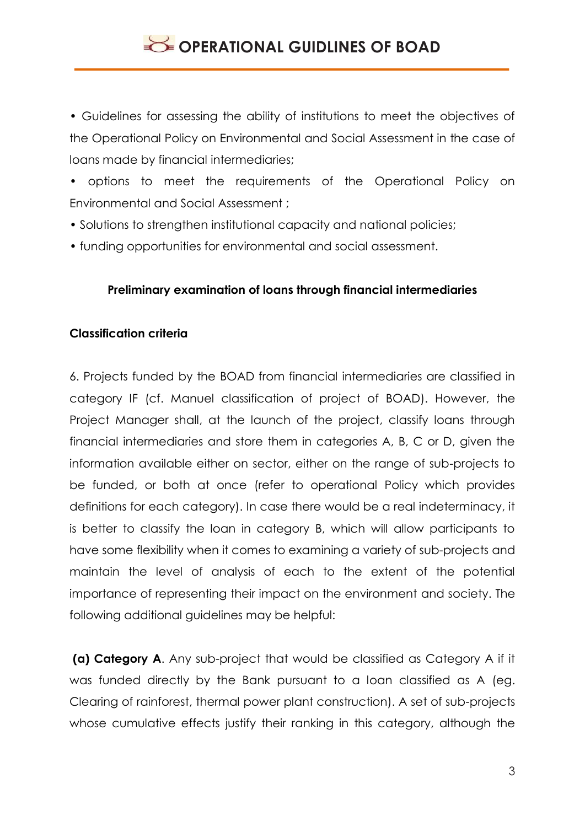• Guidelines for assessing the ability of institutions to meet the objectives of the Operational Policy on Environmental and Social Assessment in the case of loans made by financial intermediaries;

• options to meet the requirements of the Operational Policy on Environmental and Social Assessment ;

- Solutions to strengthen institutional capacity and national policies;
- funding opportunities for environmental and social assessment.

#### **Preliminary examination of loans through financial intermediaries**

#### **Classification criteria**

6. Projects funded by the BOAD from financial intermediaries are classified in category IF (cf. Manuel classification of project of BOAD). However, the Project Manager shall, at the launch of the project, classify loans through financial intermediaries and store them in categories A, B, C or D, given the information available either on sector, either on the range of sub-projects to be funded, or both at once (refer to operational Policy which provides definitions for each category). In case there would be a real indeterminacy, it is better to classify the loan in category B, which will allow participants to have some flexibility when it comes to examining a variety of sub-projects and maintain the level of analysis of each to the extent of the potential importance of representing their impact on the environment and society. The following additional guidelines may be helpful:

**(a) Category A**. Any sub-project that would be classified as Category A if it was funded directly by the Bank pursuant to a loan classified as A (eg. Clearing of rainforest, thermal power plant construction). A set of sub-projects whose cumulative effects justify their ranking in this category, although the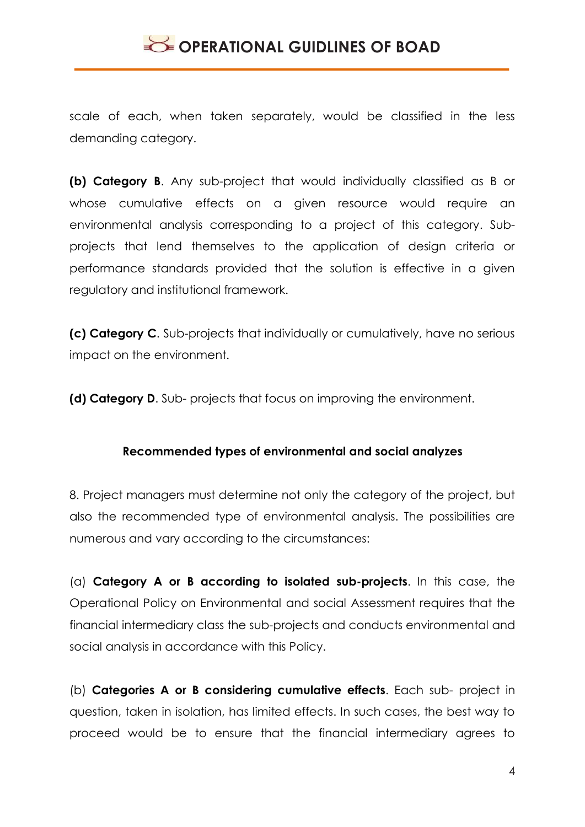scale of each, when taken separately, would be classified in the less demanding category.

**(b) Category B**. Any sub-project that would individually classified as B or whose cumulative effects on a given resource would require an environmental analysis corresponding to a project of this category. Subprojects that lend themselves to the application of design criteria or performance standards provided that the solution is effective in a given regulatory and institutional framework.

**(c) Category C**. Sub-projects that individually or cumulatively, have no serious impact on the environment.

**(d) Category D**. Sub- projects that focus on improving the environment.

#### **Recommended types of environmental and social analyzes**

8. Project managers must determine not only the category of the project, but also the recommended type of environmental analysis. The possibilities are numerous and vary according to the circumstances:

(a) **Category A or B according to isolated sub-projects**. In this case, the Operational Policy on Environmental and social Assessment requires that the financial intermediary class the sub-projects and conducts environmental and social analysis in accordance with this Policy.

(b) **Categories A or B considering cumulative effects**. Each sub- project in question, taken in isolation, has limited effects. In such cases, the best way to proceed would be to ensure that the financial intermediary agrees to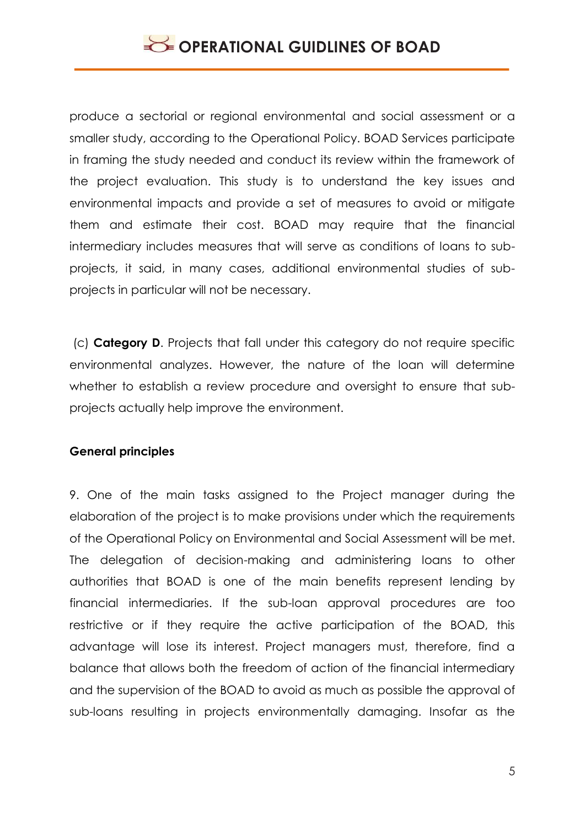produce a sectorial or regional environmental and social assessment or a smaller study, according to the Operational Policy. BOAD Services participate in framing the study needed and conduct its review within the framework of the project evaluation. This study is to understand the key issues and environmental impacts and provide a set of measures to avoid or mitigate them and estimate their cost. BOAD may require that the financial intermediary includes measures that will serve as conditions of loans to subprojects, it said, in many cases, additional environmental studies of subprojects in particular will not be necessary.

(c) **Category D**. Projects that fall under this category do not require specific environmental analyzes. However, the nature of the loan will determine whether to establish a review procedure and oversight to ensure that subprojects actually help improve the environment.

#### **General principles**

9. One of the main tasks assigned to the Project manager during the elaboration of the project is to make provisions under which the requirements of the Operational Policy on Environmental and Social Assessment will be met. The delegation of decision-making and administering loans to other authorities that BOAD is one of the main benefits represent lending by financial intermediaries. If the sub-loan approval procedures are too restrictive or if they require the active participation of the BOAD, this advantage will lose its interest. Project managers must, therefore, find a balance that allows both the freedom of action of the financial intermediary and the supervision of the BOAD to avoid as much as possible the approval of sub-loans resulting in projects environmentally damaging. Insofar as the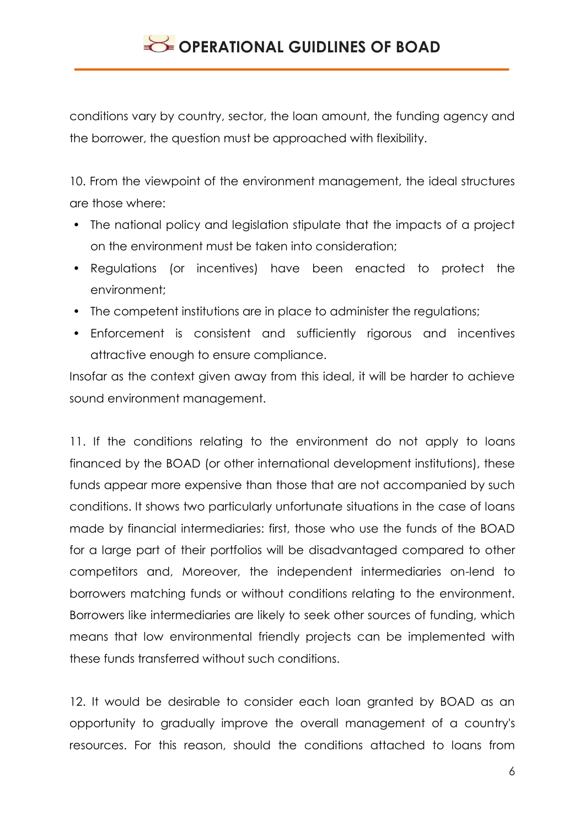conditions vary by country, sector, the loan amount, the funding agency and the borrower, the question must be approached with flexibility.

10. From the viewpoint of the environment management, the ideal structures are those where:

- The national policy and legislation stipulate that the impacts of a project on the environment must be taken into consideration;
- Regulations (or incentives) have been enacted to protect the environment;
- The competent institutions are in place to administer the regulations;
- Enforcement is consistent and sufficiently rigorous and incentives attractive enough to ensure compliance.

Insofar as the context given away from this ideal, it will be harder to achieve sound environment management.

11. If the conditions relating to the environment do not apply to loans financed by the BOAD (or other international development institutions), these funds appear more expensive than those that are not accompanied by such conditions. It shows two particularly unfortunate situations in the case of loans made by financial intermediaries: first, those who use the funds of the BOAD for a large part of their portfolios will be disadvantaged compared to other competitors and, Moreover, the independent intermediaries on-lend to borrowers matching funds or without conditions relating to the environment. Borrowers like intermediaries are likely to seek other sources of funding, which means that low environmental friendly projects can be implemented with these funds transferred without such conditions.

12. It would be desirable to consider each loan granted by BOAD as an opportunity to gradually improve the overall management of a country's resources. For this reason, should the conditions attached to loans from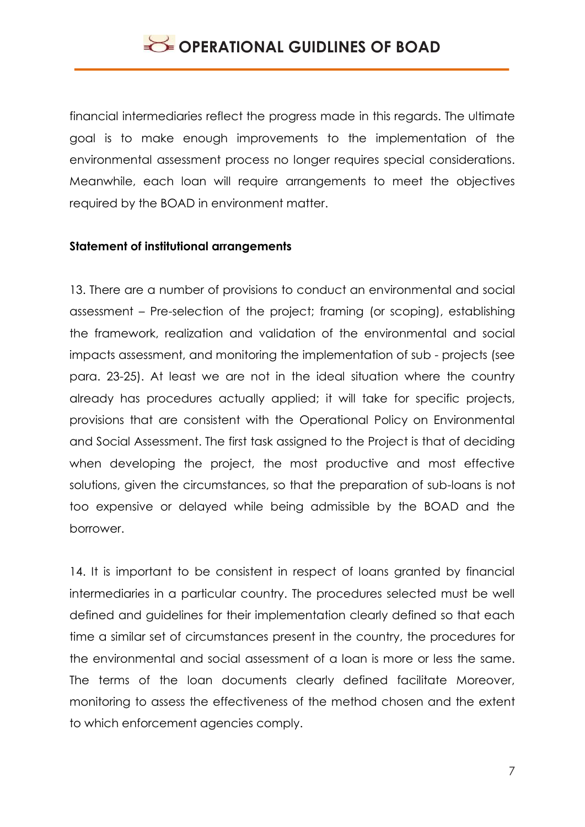financial intermediaries reflect the progress made in this regards. The ultimate goal is to make enough improvements to the implementation of the environmental assessment process no longer requires special considerations. Meanwhile, each loan will require arrangements to meet the objectives required by the BOAD in environment matter.

#### **Statement of institutional arrangements**

13. There are a number of provisions to conduct an environmental and social assessment – Pre-selection of the project; framing (or scoping), establishing the framework, realization and validation of the environmental and social impacts assessment, and monitoring the implementation of sub - projects (see para. 23-25). At least we are not in the ideal situation where the country already has procedures actually applied; it will take for specific projects, provisions that are consistent with the Operational Policy on Environmental and Social Assessment. The first task assigned to the Project is that of deciding when developing the project, the most productive and most effective solutions, given the circumstances, so that the preparation of sub-loans is not too expensive or delayed while being admissible by the BOAD and the borrower.

14. It is important to be consistent in respect of loans granted by financial intermediaries in a particular country. The procedures selected must be well defined and guidelines for their implementation clearly defined so that each time a similar set of circumstances present in the country, the procedures for the environmental and social assessment of a loan is more or less the same. The terms of the loan documents clearly defined facilitate Moreover, monitoring to assess the effectiveness of the method chosen and the extent to which enforcement agencies comply.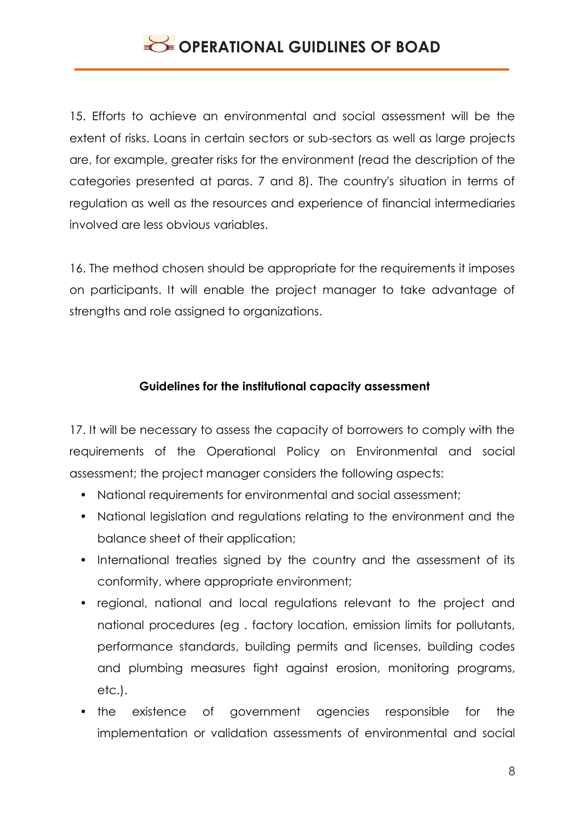15. Efforts to achieve an environmental and social assessment will be the extent of risks. Loans in certain sectors or sub-sectors as well as large projects are, for example, greater risks for the environment (read the description of the categories presented at paras. 7 and 8). The country's situation in terms of regulation as well as the resources and experience of financial intermediaries involved are less obvious variables.

16. The method chosen should be appropriate for the requirements it imposes on participants. It will enable the project manager to take advantage of strengths and role assigned to organizations.

### **Guidelines for the institutional capacity assessment**

17. It will be necessary to assess the capacity of borrowers to comply with the requirements of the Operational Policy on Environmental and social assessment; the project manager considers the following aspects:

- National requirements for environmental and social assessment;
- National legislation and regulations relating to the environment and the balance sheet of their application;
- International treaties signed by the country and the assessment of its conformity, where appropriate environment;
- regional, national and local regulations relevant to the project and national procedures (eg . factory location, emission limits for pollutants, performance standards, building permits and licenses, building codes and plumbing measures fight against erosion, monitoring programs, etc.).
- the existence of government agencies responsible for the implementation or validation assessments of environmental and social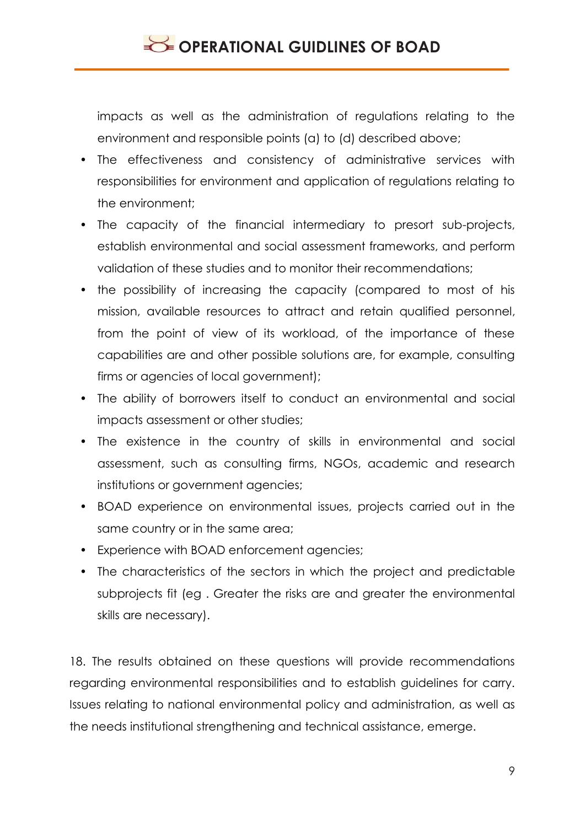impacts as well as the administration of regulations relating to the environment and responsible points (a) to (d) described above;

- The effectiveness and consistency of administrative services with responsibilities for environment and application of regulations relating to the environment;
- The capacity of the financial intermediary to presort sub-projects, establish environmental and social assessment frameworks, and perform validation of these studies and to monitor their recommendations;
- the possibility of increasing the capacity (compared to most of his mission, available resources to attract and retain qualified personnel, from the point of view of its workload, of the importance of these capabilities are and other possible solutions are, for example, consulting firms or agencies of local government);
- The ability of borrowers itself to conduct an environmental and social impacts assessment or other studies;
- The existence in the country of skills in environmental and social assessment, such as consulting firms, NGOs, academic and research institutions or government agencies;
- BOAD experience on environmental issues, projects carried out in the same country or in the same area;
- Experience with BOAD enforcement agencies;
- The characteristics of the sectors in which the project and predictable subprojects fit (eg . Greater the risks are and greater the environmental skills are necessary).

18. The results obtained on these questions will provide recommendations regarding environmental responsibilities and to establish guidelines for carry. Issues relating to national environmental policy and administration, as well as the needs institutional strengthening and technical assistance, emerge.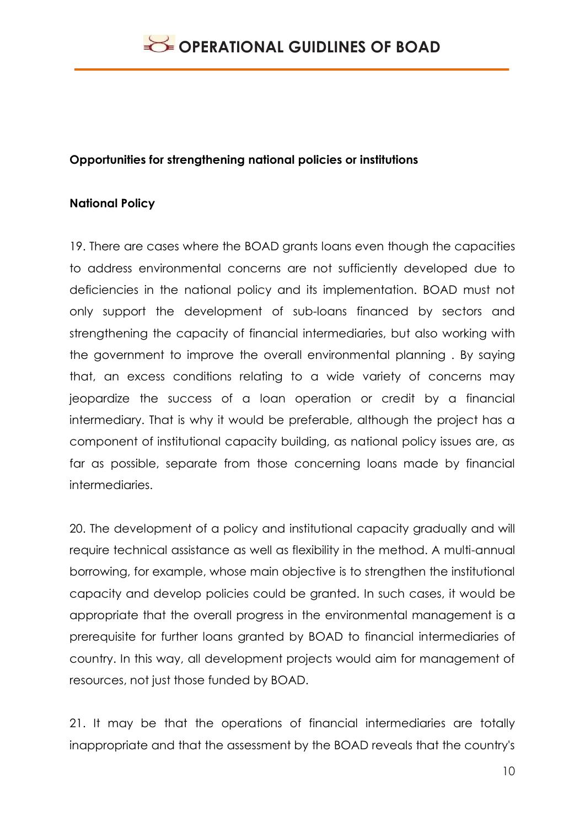### **Opportunities for strengthening national policies or institutions**

### **National Policy**

19. There are cases where the BOAD grants loans even though the capacities to address environmental concerns are not sufficiently developed due to deficiencies in the national policy and its implementation. BOAD must not only support the development of sub-loans financed by sectors and strengthening the capacity of financial intermediaries, but also working with the government to improve the overall environmental planning . By saying that, an excess conditions relating to a wide variety of concerns may jeopardize the success of a loan operation or credit by a financial intermediary. That is why it would be preferable, although the project has a component of institutional capacity building, as national policy issues are, as far as possible, separate from those concerning loans made by financial intermediaries.

20. The development of a policy and institutional capacity gradually and will require technical assistance as well as flexibility in the method. A multi-annual borrowing, for example, whose main objective is to strengthen the institutional capacity and develop policies could be granted. In such cases, it would be appropriate that the overall progress in the environmental management is a prerequisite for further loans granted by BOAD to financial intermediaries of country. In this way, all development projects would aim for management of resources, not just those funded by BOAD.

21. It may be that the operations of financial intermediaries are totally inappropriate and that the assessment by the BOAD reveals that the country's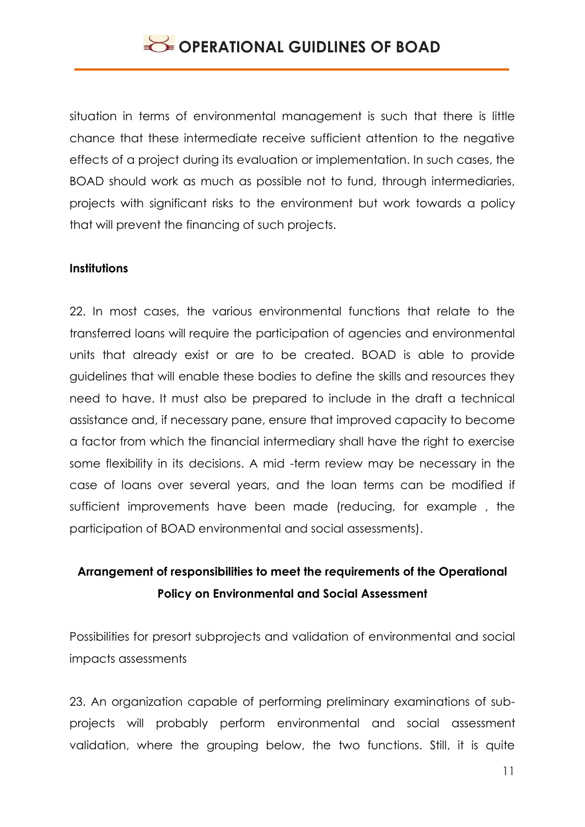situation in terms of environmental management is such that there is little chance that these intermediate receive sufficient attention to the negative effects of a project during its evaluation or implementation. In such cases, the BOAD should work as much as possible not to fund, through intermediaries, projects with significant risks to the environment but work towards a policy that will prevent the financing of such projects.

#### **Institutions**

22. In most cases, the various environmental functions that relate to the transferred loans will require the participation of agencies and environmental units that already exist or are to be created. BOAD is able to provide guidelines that will enable these bodies to define the skills and resources they need to have. It must also be prepared to include in the draft a technical assistance and, if necessary pane, ensure that improved capacity to become a factor from which the financial intermediary shall have the right to exercise some flexibility in its decisions. A mid -term review may be necessary in the case of loans over several years, and the loan terms can be modified if sufficient improvements have been made (reducing, for example , the participation of BOAD environmental and social assessments).

### **Arrangement of responsibilities to meet the requirements of the Operational Policy on Environmental and Social Assessment**

Possibilities for presort subprojects and validation of environmental and social impacts assessments

23. An organization capable of performing preliminary examinations of subprojects will probably perform environmental and social assessment validation, where the grouping below, the two functions. Still, it is quite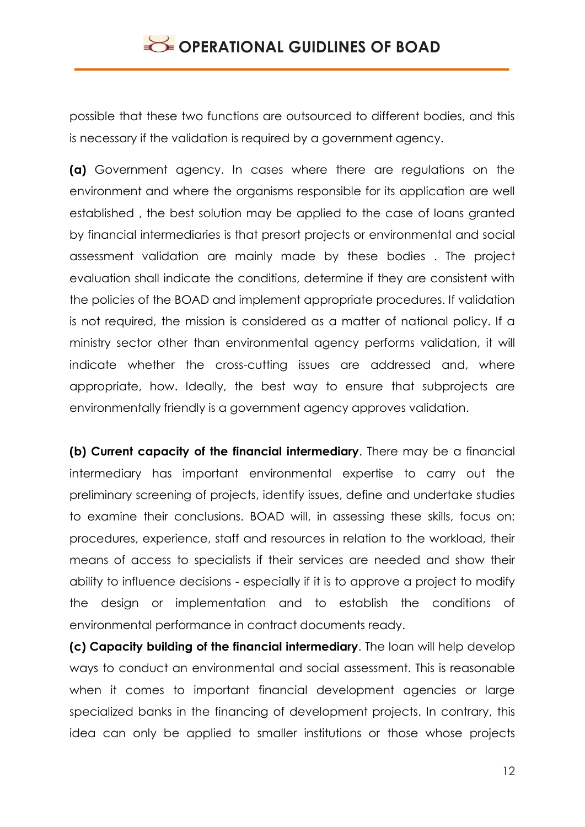possible that these two functions are outsourced to different bodies, and this is necessary if the validation is required by a government agency.

**(a)** Government agency. In cases where there are regulations on the environment and where the organisms responsible for its application are well established , the best solution may be applied to the case of loans granted by financial intermediaries is that presort projects or environmental and social assessment validation are mainly made by these bodies . The project evaluation shall indicate the conditions, determine if they are consistent with the policies of the BOAD and implement appropriate procedures. If validation is not required, the mission is considered as a matter of national policy. If a ministry sector other than environmental agency performs validation, it will indicate whether the cross-cutting issues are addressed and, where appropriate, how. Ideally, the best way to ensure that subprojects are environmentally friendly is a government agency approves validation.

**(b) Current capacity of the financial intermediary**. There may be a financial intermediary has important environmental expertise to carry out the preliminary screening of projects, identify issues, define and undertake studies to examine their conclusions. BOAD will, in assessing these skills, focus on: procedures, experience, staff and resources in relation to the workload, their means of access to specialists if their services are needed and show their ability to influence decisions - especially if it is to approve a project to modify the design or implementation and to establish the conditions of environmental performance in contract documents ready.

**(c) Capacity building of the financial intermediary**. The loan will help develop ways to conduct an environmental and social assessment. This is reasonable when it comes to important financial development agencies or large specialized banks in the financing of development projects. In contrary, this idea can only be applied to smaller institutions or those whose projects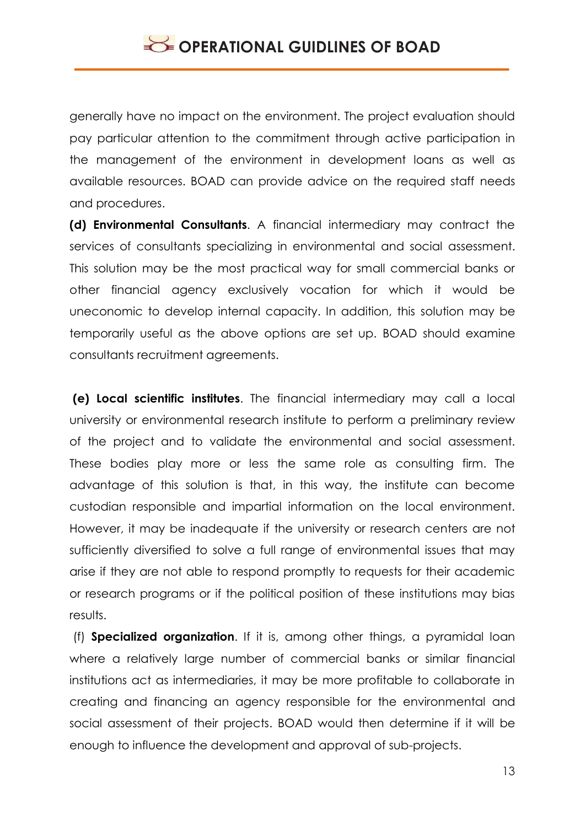generally have no impact on the environment. The project evaluation should pay particular attention to the commitment through active participation in the management of the environment in development loans as well as available resources. BOAD can provide advice on the required staff needs and procedures.

**(d) Environmental Consultants**. A financial intermediary may contract the services of consultants specializing in environmental and social assessment. This solution may be the most practical way for small commercial banks or other financial agency exclusively vocation for which it would be uneconomic to develop internal capacity. In addition, this solution may be temporarily useful as the above options are set up. BOAD should examine consultants recruitment agreements.

**(e) Local scientific institutes**. The financial intermediary may call a local university or environmental research institute to perform a preliminary review of the project and to validate the environmental and social assessment. These bodies play more or less the same role as consulting firm. The advantage of this solution is that, in this way, the institute can become custodian responsible and impartial information on the local environment. However, it may be inadequate if the university or research centers are not sufficiently diversified to solve a full range of environmental issues that may arise if they are not able to respond promptly to requests for their academic or research programs or if the political position of these institutions may bias results.

(f) **Specialized organization**. If it is, among other things, a pyramidal loan where a relatively large number of commercial banks or similar financial institutions act as intermediaries, it may be more profitable to collaborate in creating and financing an agency responsible for the environmental and social assessment of their projects. BOAD would then determine if it will be enough to influence the development and approval of sub-projects.

13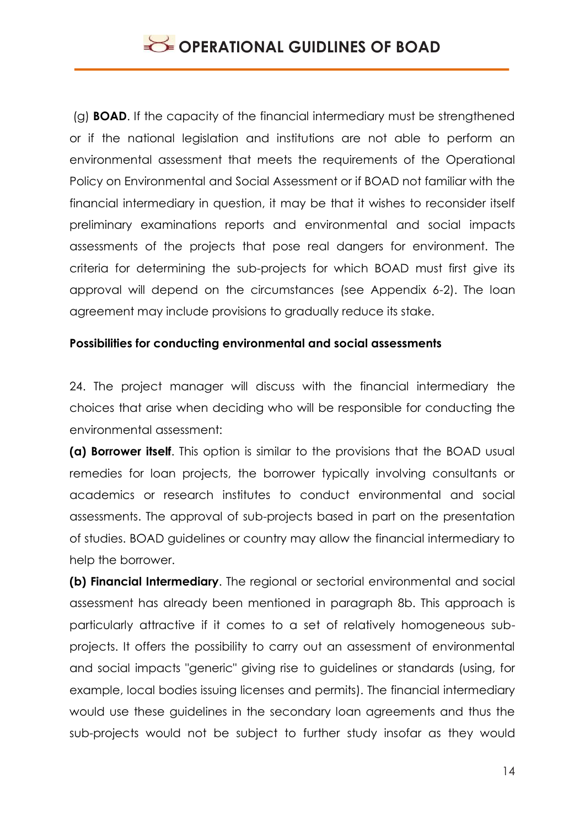(g) **BOAD**. If the capacity of the financial intermediary must be strengthened or if the national legislation and institutions are not able to perform an environmental assessment that meets the requirements of the Operational Policy on Environmental and Social Assessment or if BOAD not familiar with the financial intermediary in question, it may be that it wishes to reconsider itself preliminary examinations reports and environmental and social impacts assessments of the projects that pose real dangers for environment. The criteria for determining the sub-projects for which BOAD must first give its approval will depend on the circumstances (see Appendix 6-2). The loan agreement may include provisions to gradually reduce its stake.

### **Possibilities for conducting environmental and social assessments**

24. The project manager will discuss with the financial intermediary the choices that arise when deciding who will be responsible for conducting the environmental assessment:

**(a) Borrower itself**. This option is similar to the provisions that the BOAD usual remedies for loan projects, the borrower typically involving consultants or academics or research institutes to conduct environmental and social assessments. The approval of sub-projects based in part on the presentation of studies. BOAD guidelines or country may allow the financial intermediary to help the borrower.

**(b) Financial Intermediary**. The regional or sectorial environmental and social assessment has already been mentioned in paragraph 8b. This approach is particularly attractive if it comes to a set of relatively homogeneous subprojects. It offers the possibility to carry out an assessment of environmental and social impacts "generic" giving rise to guidelines or standards (using, for example, local bodies issuing licenses and permits). The financial intermediary would use these guidelines in the secondary loan agreements and thus the sub-projects would not be subject to further study insofar as they would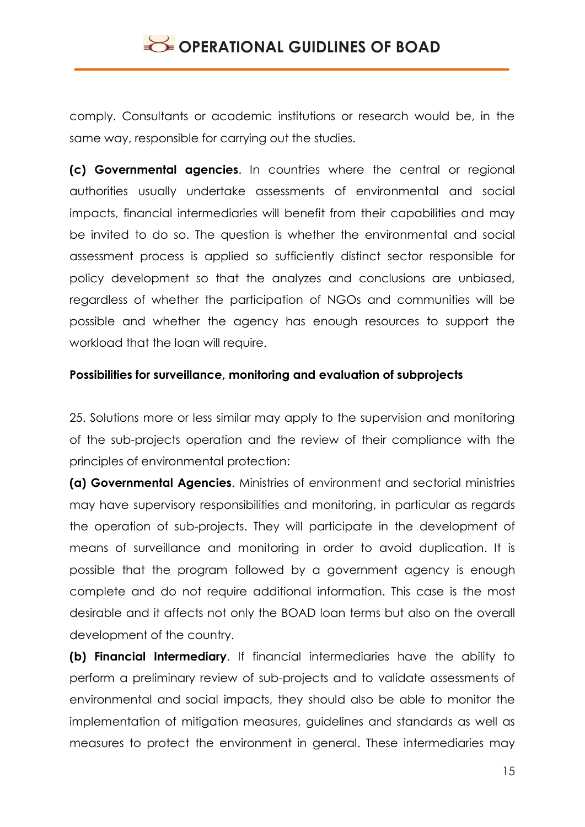comply. Consultants or academic institutions or research would be, in the same way, responsible for carrying out the studies.

**(c) Governmental agencies**. In countries where the central or regional authorities usually undertake assessments of environmental and social impacts, financial intermediaries will benefit from their capabilities and may be invited to do so. The question is whether the environmental and social assessment process is applied so sufficiently distinct sector responsible for policy development so that the analyzes and conclusions are unbiased, regardless of whether the participation of NGOs and communities will be possible and whether the agency has enough resources to support the workload that the loan will require.

### **Possibilities for surveillance, monitoring and evaluation of subprojects**

25. Solutions more or less similar may apply to the supervision and monitoring of the sub-projects operation and the review of their compliance with the principles of environmental protection:

**(a) Governmental Agencies**. Ministries of environment and sectorial ministries may have supervisory responsibilities and monitoring, in particular as regards the operation of sub-projects. They will participate in the development of means of surveillance and monitoring in order to avoid duplication. It is possible that the program followed by a government agency is enough complete and do not require additional information. This case is the most desirable and it affects not only the BOAD loan terms but also on the overall development of the country.

**(b) Financial Intermediary**. If financial intermediaries have the ability to perform a preliminary review of sub-projects and to validate assessments of environmental and social impacts, they should also be able to monitor the implementation of mitigation measures, guidelines and standards as well as measures to protect the environment in general. These intermediaries may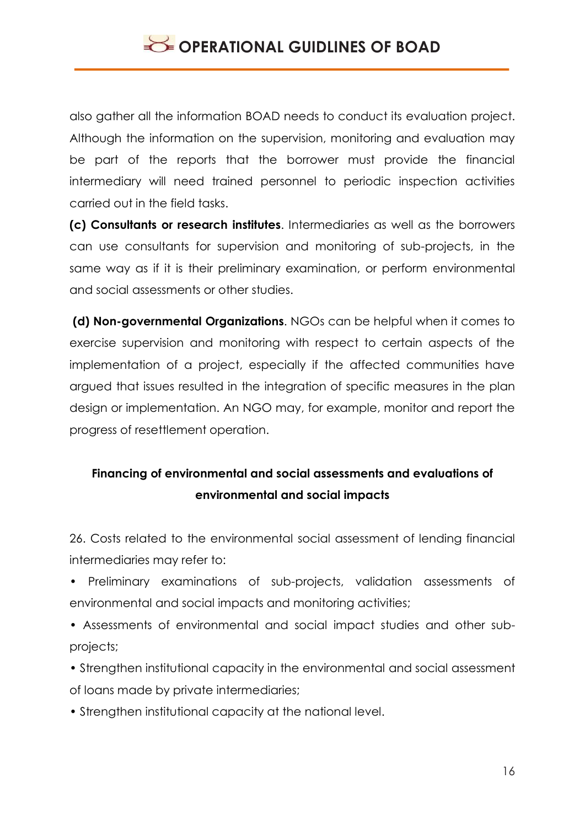also gather all the information BOAD needs to conduct its evaluation project. Although the information on the supervision, monitoring and evaluation may be part of the reports that the borrower must provide the financial intermediary will need trained personnel to periodic inspection activities carried out in the field tasks.

**(c) Consultants or research institutes**. Intermediaries as well as the borrowers can use consultants for supervision and monitoring of sub-projects, in the same way as if it is their preliminary examination, or perform environmental and social assessments or other studies.

**(d) Non-governmental Organizations**. NGOs can be helpful when it comes to exercise supervision and monitoring with respect to certain aspects of the implementation of a project, especially if the affected communities have argued that issues resulted in the integration of specific measures in the plan design or implementation. An NGO may, for example, monitor and report the progress of resettlement operation.

## **Financing of environmental and social assessments and evaluations of environmental and social impacts**

26. Costs related to the environmental social assessment of lending financial intermediaries may refer to:

- Preliminary examinations of sub-projects, validation assessments of environmental and social impacts and monitoring activities;
- Assessments of environmental and social impact studies and other subprojects;
- Strengthen institutional capacity in the environmental and social assessment of loans made by private intermediaries;
- Strengthen institutional capacity at the national level.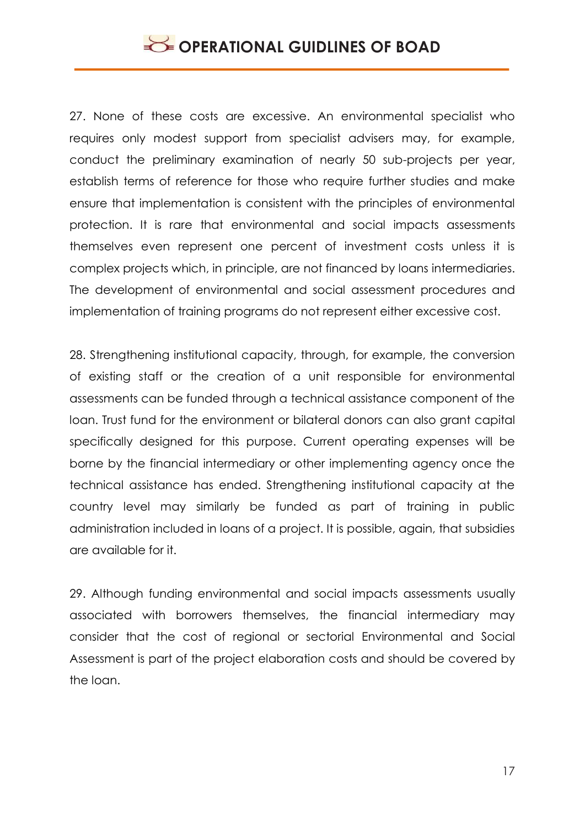27. None of these costs are excessive. An environmental specialist who requires only modest support from specialist advisers may, for example, conduct the preliminary examination of nearly 50 sub-projects per year, establish terms of reference for those who require further studies and make ensure that implementation is consistent with the principles of environmental protection. It is rare that environmental and social impacts assessments themselves even represent one percent of investment costs unless it is complex projects which, in principle, are not financed by loans intermediaries. The development of environmental and social assessment procedures and implementation of training programs do not represent either excessive cost.

28. Strengthening institutional capacity, through, for example, the conversion of existing staff or the creation of a unit responsible for environmental assessments can be funded through a technical assistance component of the loan. Trust fund for the environment or bilateral donors can also grant capital specifically designed for this purpose. Current operating expenses will be borne by the financial intermediary or other implementing agency once the technical assistance has ended. Strengthening institutional capacity at the country level may similarly be funded as part of training in public administration included in loans of a project. It is possible, again, that subsidies are available for it.

29. Although funding environmental and social impacts assessments usually associated with borrowers themselves, the financial intermediary may consider that the cost of regional or sectorial Environmental and Social Assessment is part of the project elaboration costs and should be covered by the loan.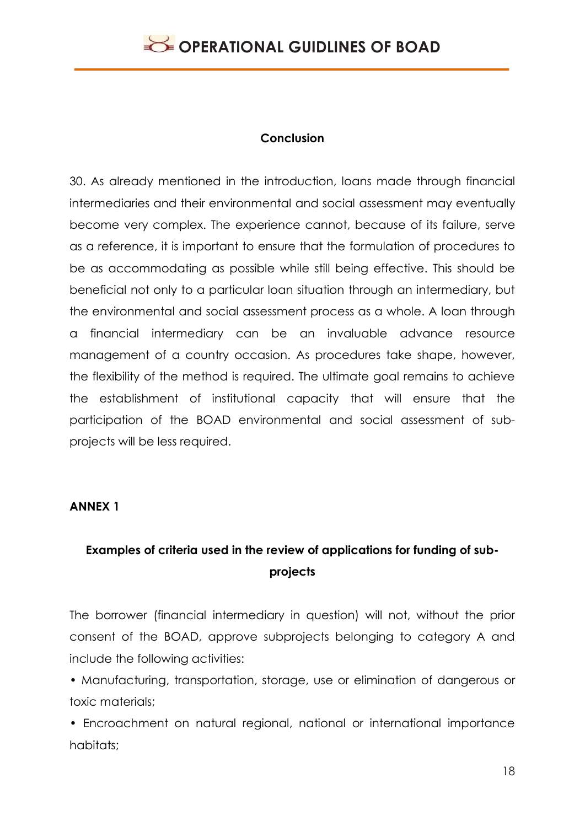#### **Conclusion**

30. As already mentioned in the introduction, loans made through financial intermediaries and their environmental and social assessment may eventually become very complex. The experience cannot, because of its failure, serve as a reference, it is important to ensure that the formulation of procedures to be as accommodating as possible while still being effective. This should be beneficial not only to a particular loan situation through an intermediary, but the environmental and social assessment process as a whole. A loan through a financial intermediary can be an invaluable advance resource management of a country occasion. As procedures take shape, however, the flexibility of the method is required. The ultimate goal remains to achieve the establishment of institutional capacity that will ensure that the participation of the BOAD environmental and social assessment of subprojects will be less required.

#### **ANNEX 1**

### **Examples of criteria used in the review of applications for funding of subprojects**

The borrower (financial intermediary in question) will not, without the prior consent of the BOAD, approve subprojects belonging to category A and include the following activities:

• Manufacturing, transportation, storage, use or elimination of dangerous or toxic materials;

• Encroachment on natural regional, national or international importance habitats;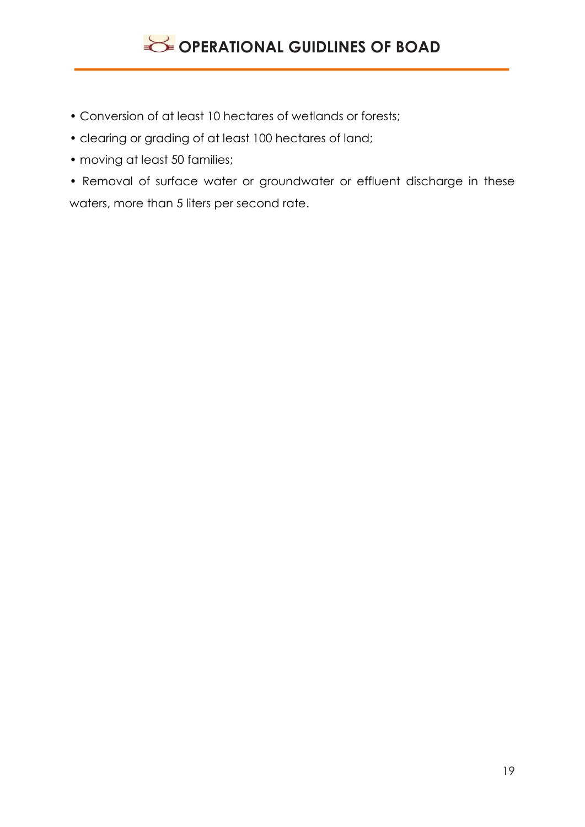- Conversion of at least 10 hectares of wetlands or forests;
- clearing or grading of at least 100 hectares of land;
- moving at least 50 families;
- Removal of surface water or groundwater or effluent discharge in these waters, more than 5 liters per second rate.